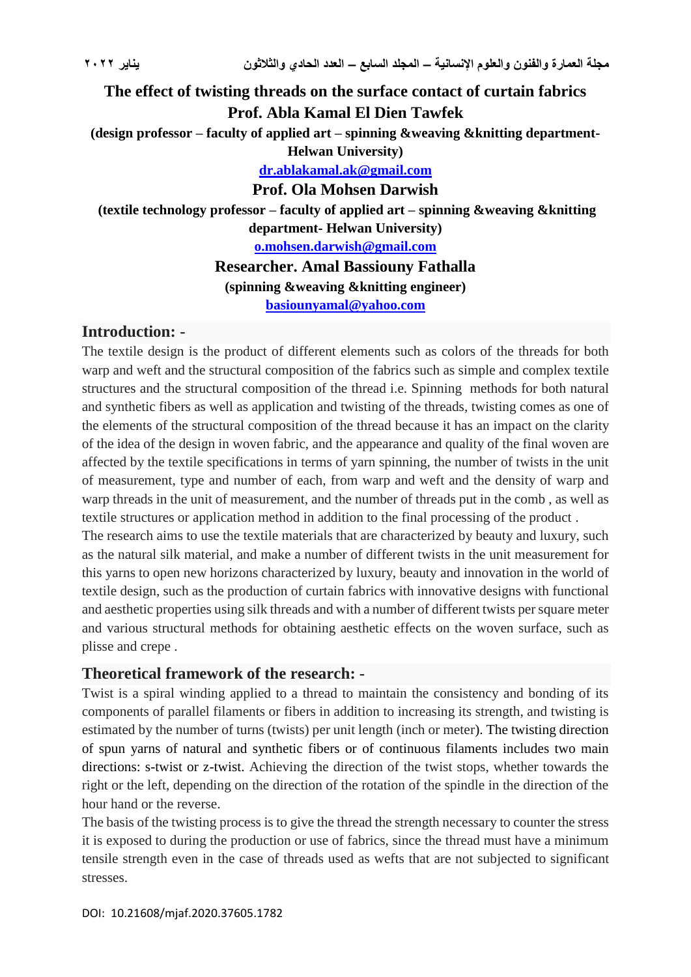# **The effect of twisting threads on the surface contact of curtain fabrics Prof. Abla Kamal El Dien Tawfek (design professor – faculty of applied art – spinning &weaving &knitting department-Helwan University) [dr.ablakamal.ak@gmail.com](mailto:dr.ablakamal.ak@gmail.com) Prof. Ola Mohsen Darwish (textile technology professor – faculty of applied art – spinning &weaving &knitting department- Helwan University) [o.mohsen.darwish@gmail.com](mailto:o.mohsen.darwish@gmail.com) Researcher. Amal Bassiouny Fathalla (spinning &weaving &knitting engineer) [basiounyamal@yahoo.com](mailto:basiounyamal@yahoo.com)**

### **Introduction: -**

The textile design is the product of different elements such as colors of the threads for both warp and weft and the structural composition of the fabrics such as simple and complex textile structures and the structural composition of the thread i.e. Spinning methods for both natural and synthetic fibers as well as application and twisting of the threads, twisting comes as one of the elements of the structural composition of the thread because it has an impact on the clarity of the idea of the design in woven fabric, and the appearance and quality of the final woven are affected by the textile specifications in terms of yarn spinning, the number of twists in the unit of measurement, type and number of each, from warp and weft and the density of warp and warp threads in the unit of measurement, and the number of threads put in the comb , as well as textile structures or application method in addition to the final processing of the product .

The research aims to use the textile materials that are characterized by beauty and luxury, such as the natural silk material, and make a number of different twists in the unit measurement for this yarns to open new horizons characterized by luxury, beauty and innovation in the world of textile design, such as the production of curtain fabrics with innovative designs with functional and aesthetic properties using silk threads and with a number of different twists per square meter and various structural methods for obtaining aesthetic effects on the woven surface, such as plisse and crepe .

### **Theoretical framework of the research: -**

Twist is a spiral winding applied to a thread to maintain the consistency and bonding of its components of parallel filaments or fibers in addition to increasing its strength, and twisting is estimated by the number of turns (twists) per unit length (inch or meter). The twisting direction of spun yarns of natural and synthetic fibers or of continuous filaments includes two main directions: s-twist or z-twist. Achieving the direction of the twist stops, whether towards the right or the left, depending on the direction of the rotation of the spindle in the direction of the hour hand or the reverse.

The basis of the twisting process is to give the thread the strength necessary to counter the stress it is exposed to during the production or use of fabrics, since the thread must have a minimum tensile strength even in the case of threads used as wefts that are not subjected to significant stresses.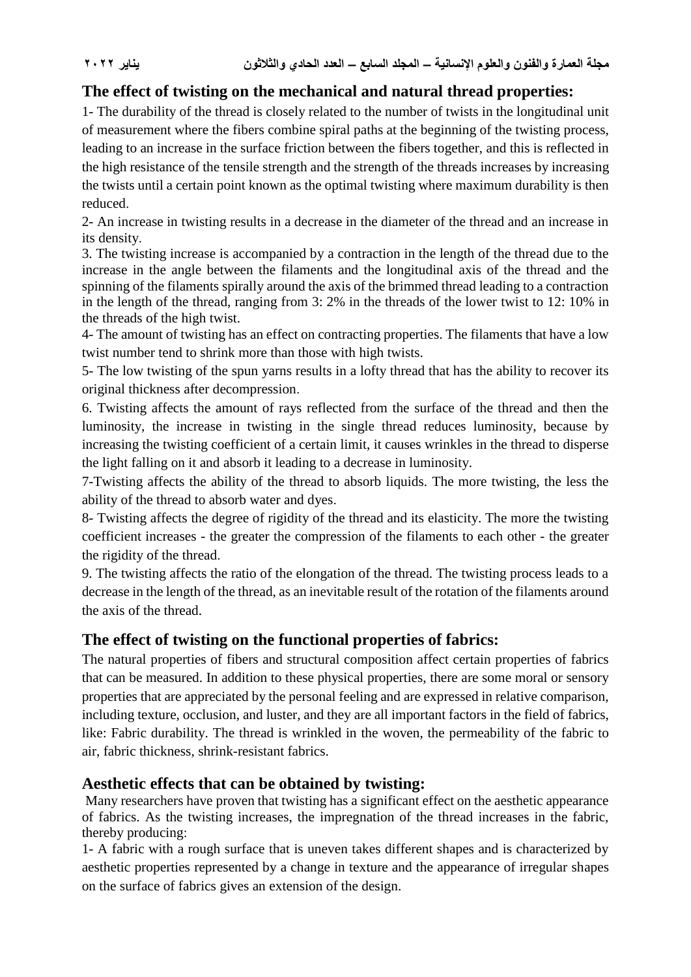## **The effect of twisting on the mechanical and natural thread properties:**

1- The durability of the thread is closely related to the number of twists in the longitudinal unit of measurement where the fibers combine spiral paths at the beginning of the twisting process, leading to an increase in the surface friction between the fibers together, and this is reflected in the high resistance of the tensile strength and the strength of the threads increases by increasing the twists until a certain point known as the optimal twisting where maximum durability is then reduced.

2- An increase in twisting results in a decrease in the diameter of the thread and an increase in its density.

3. The twisting increase is accompanied by a contraction in the length of the thread due to the increase in the angle between the filaments and the longitudinal axis of the thread and the spinning of the filaments spirally around the axis of the brimmed thread leading to a contraction in the length of the thread, ranging from 3: 2% in the threads of the lower twist to 12: 10% in the threads of the high twist.

4- The amount of twisting has an effect on contracting properties. The filaments that have a low twist number tend to shrink more than those with high twists.

5- The low twisting of the spun yarns results in a lofty thread that has the ability to recover its original thickness after decompression.

6. Twisting affects the amount of rays reflected from the surface of the thread and then the luminosity, the increase in twisting in the single thread reduces luminosity, because by increasing the twisting coefficient of a certain limit, it causes wrinkles in the thread to disperse the light falling on it and absorb it leading to a decrease in luminosity.

7-Twisting affects the ability of the thread to absorb liquids. The more twisting, the less the ability of the thread to absorb water and dyes.

8- Twisting affects the degree of rigidity of the thread and its elasticity. The more the twisting coefficient increases - the greater the compression of the filaments to each other - the greater the rigidity of the thread.

9. The twisting affects the ratio of the elongation of the thread. The twisting process leads to a decrease in the length of the thread, as an inevitable result of the rotation of the filaments around the axis of the thread.

## **The effect of twisting on the functional properties of fabrics:**

The natural properties of fibers and structural composition affect certain properties of fabrics that can be measured. In addition to these physical properties, there are some moral or sensory properties that are appreciated by the personal feeling and are expressed in relative comparison, including texture, occlusion, and luster, and they are all important factors in the field of fabrics, like: Fabric durability. The thread is wrinkled in the woven, the permeability of the fabric to air, fabric thickness, shrink-resistant fabrics.

### **Aesthetic effects that can be obtained by twisting:**

Many researchers have proven that twisting has a significant effect on the aesthetic appearance of fabrics. As the twisting increases, the impregnation of the thread increases in the fabric, thereby producing:

1- A fabric with a rough surface that is uneven takes different shapes and is characterized by aesthetic properties represented by a change in texture and the appearance of irregular shapes on the surface of fabrics gives an extension of the design.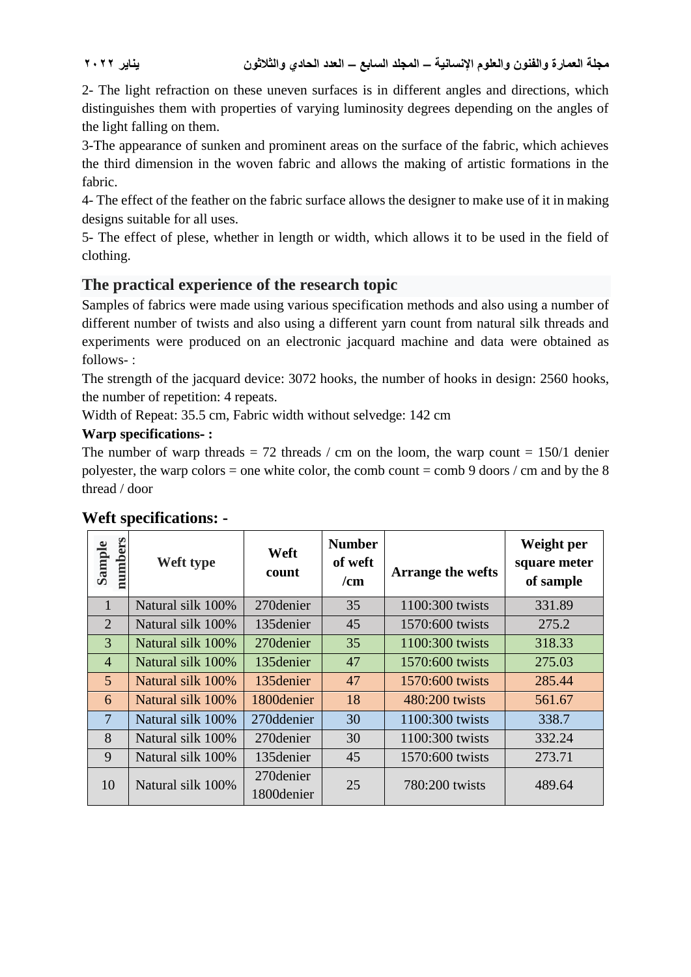2- The light refraction on these uneven surfaces is in different angles and directions, which distinguishes them with properties of varying luminosity degrees depending on the angles of the light falling on them.

3-The appearance of sunken and prominent areas on the surface of the fabric, which achieves the third dimension in the woven fabric and allows the making of artistic formations in the fabric.

4- The effect of the feather on the fabric surface allows the designer to make use of it in making designs suitable for all uses.

5- The effect of plese, whether in length or width, which allows it to be used in the field of clothing.

## **The practical experience of the research topic**

Samples of fabrics were made using various specification methods and also using a number of different number of twists and also using a different yarn count from natural silk threads and experiments were produced on an electronic jacquard machine and data were obtained as follows- :

The strength of the jacquard device: 3072 hooks, the number of hooks in design: 2560 hooks, the number of repetition: 4 repeats.

Width of Repeat: 35.5 cm, Fabric width without selvedge: 142 cm

### **Warp specifications- :**

The number of warp threads  $= 72$  threads / cm on the loom, the warp count  $= 150/1$  denier polyester, the warp colors = one white color, the comb count = comb 9 doors / cm and by the 8 thread / door

| numbers<br>Sample | Weft type         | Weft<br>count            | <b>Number</b><br>of weft<br>/cm | <b>Arrange the wefts</b> | Weight per<br>square meter<br>of sample |
|-------------------|-------------------|--------------------------|---------------------------------|--------------------------|-----------------------------------------|
| $\mathbf{1}$      | Natural silk 100% | 270 denier               | 35                              | 1100:300 twists          | 331.89                                  |
| 2                 | Natural silk 100% | 135 denier               | 45                              | 1570:600 twists          | 275.2                                   |
| 3                 | Natural silk 100% | 270 denier               | 35                              | 1100:300 twists          | 318.33                                  |
| $\overline{4}$    | Natural silk 100% | 135 denier               | 47                              | 1570:600 twists          | 275.03                                  |
| 5                 | Natural silk 100% | 135 denier               | 47                              | 1570:600 twists          | 285.44                                  |
| 6                 | Natural silk 100% | 1800denier               | 18                              | 480:200 twists           | 561.67                                  |
| $\overline{7}$    | Natural silk 100% | 270ddenier               | 30                              | 1100:300 twists          | 338.7                                   |
| 8                 | Natural silk 100% | 270 denier               | 30                              | 1100:300 twists          | 332.24                                  |
| 9                 | Natural silk 100% | 135 denier               | 45                              | 1570:600 twists          | 273.71                                  |
| 10                | Natural silk 100% | 270 denier<br>1800denier | 25                              | 780:200 twists           | 489.64                                  |

## **Weft specifications: -**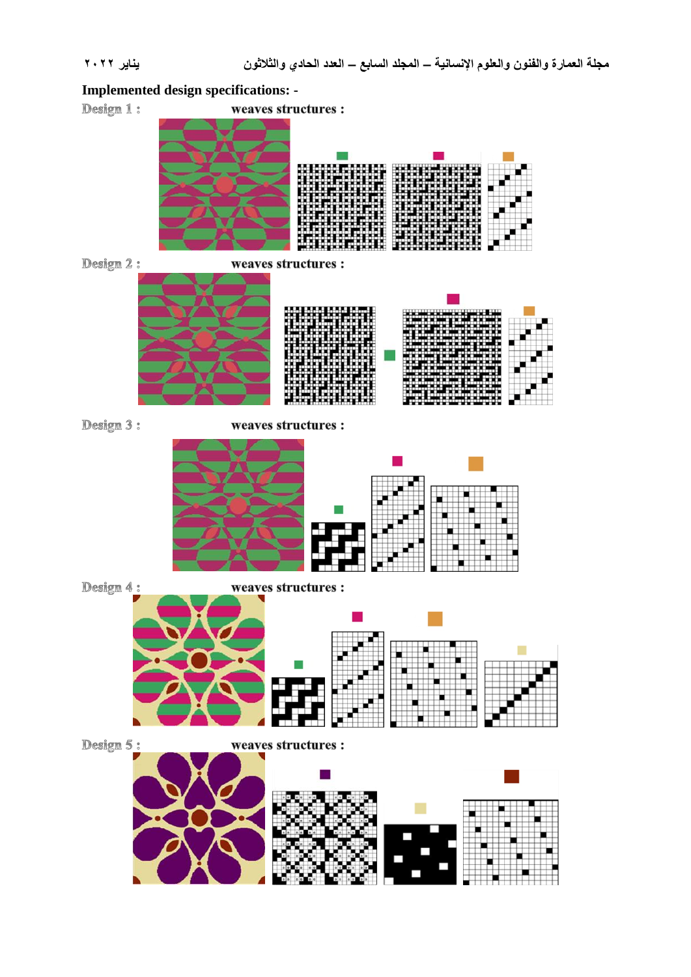#### **Implemented design specifications: -**

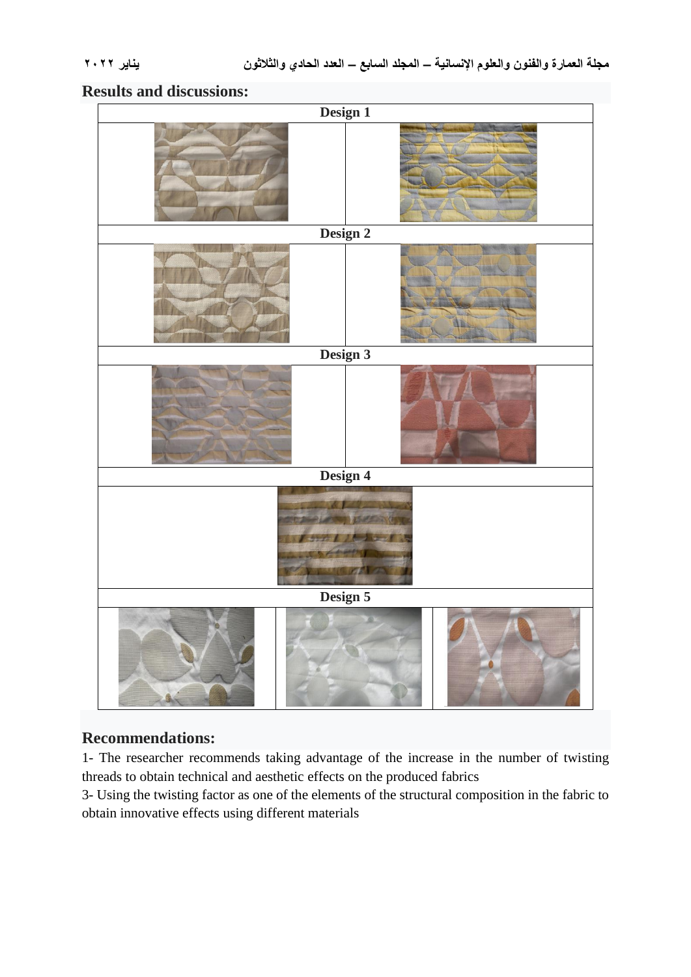## **Results and discussions:**

| Design 1   |  |  |  |  |  |  |  |
|------------|--|--|--|--|--|--|--|
|            |  |  |  |  |  |  |  |
| Design 2   |  |  |  |  |  |  |  |
|            |  |  |  |  |  |  |  |
| Design 3   |  |  |  |  |  |  |  |
|            |  |  |  |  |  |  |  |
| Design 4   |  |  |  |  |  |  |  |
| <b>R</b> M |  |  |  |  |  |  |  |
| Design 5   |  |  |  |  |  |  |  |
|            |  |  |  |  |  |  |  |

## **Recommendations:**

1- The researcher recommends taking advantage of the increase in the number of twisting threads to obtain technical and aesthetic effects on the produced fabrics

3- Using the twisting factor as one of the elements of the structural composition in the fabric to obtain innovative effects using different materials